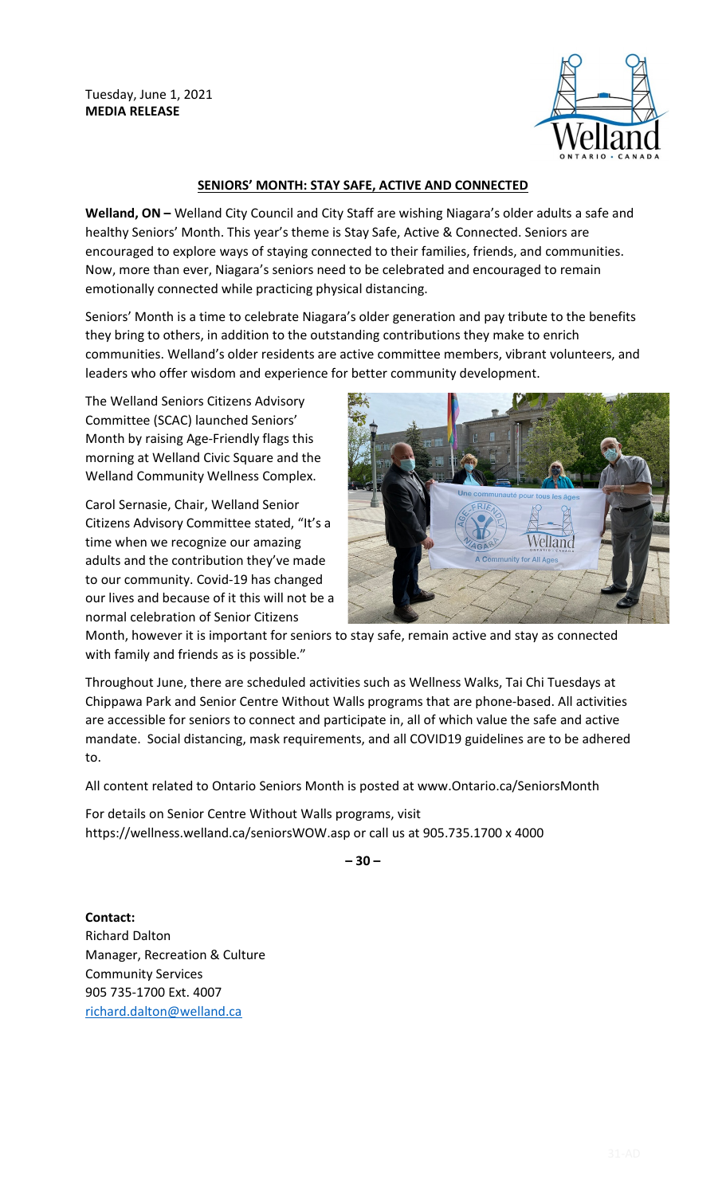Tuesday, June 1, 2021 **MEDIA RELEASE**



## **SENIORS' MONTH: STAY SAFE, ACTIVE AND CONNECTED**

**Welland, ON –** Welland City Council and City Staff are wishing Niagara's older adults a safe and healthy Seniors' Month. This year's theme is Stay Safe, Active & Connected. Seniors are encouraged to explore ways of staying connected to their families, friends, and communities. Now, more than ever, Niagara's seniors need to be celebrated and encouraged to remain emotionally connected while practicing physical distancing.

Seniors' Month is a time to celebrate Niagara's older generation and pay tribute to the benefits they bring to others, in addition to the outstanding contributions they make to enrich communities. Welland's older residents are active committee members, vibrant volunteers, and leaders who offer wisdom and experience for better community development.

The Welland Seniors Citizens Advisory Committee (SCAC) launched Seniors' Month by raising Age-Friendly flags this morning at Welland Civic Square and the Welland Community Wellness Complex.

Carol Sernasie, Chair, Welland Senior Citizens Advisory Committee stated, "It's a time when we recognize our amazing adults and the contribution they've made to our community. Covid-19 has changed our lives and because of it this will not be a normal celebration of Senior Citizens



Month, however it is important for seniors to stay safe, remain active and stay as connected with family and friends as is possible."

Throughout June, there are scheduled activities such as Wellness Walks, Tai Chi Tuesdays at Chippawa Park and Senior Centre Without Walls programs that are phone-based. All activities are accessible for seniors to connect and participate in, all of which value the safe and active mandate. Social distancing, mask requirements, and all COVID19 guidelines are to be adhered to.

All content related to Ontario Seniors Month is posted at www.Ontario.ca/SeniorsMonth

For details on Senior Centre Without Walls programs, visit https://wellness.welland.ca/seniorsWOW.asp or call us at 905.735.1700 x 4000

**– 30 –** 

**Contact:** Richard Dalton Manager, Recreation & Culture Community Services 905 735-1700 Ext. 4007 [richard.dalton@welland.ca](mailto:richard.dalton@welland.ca)